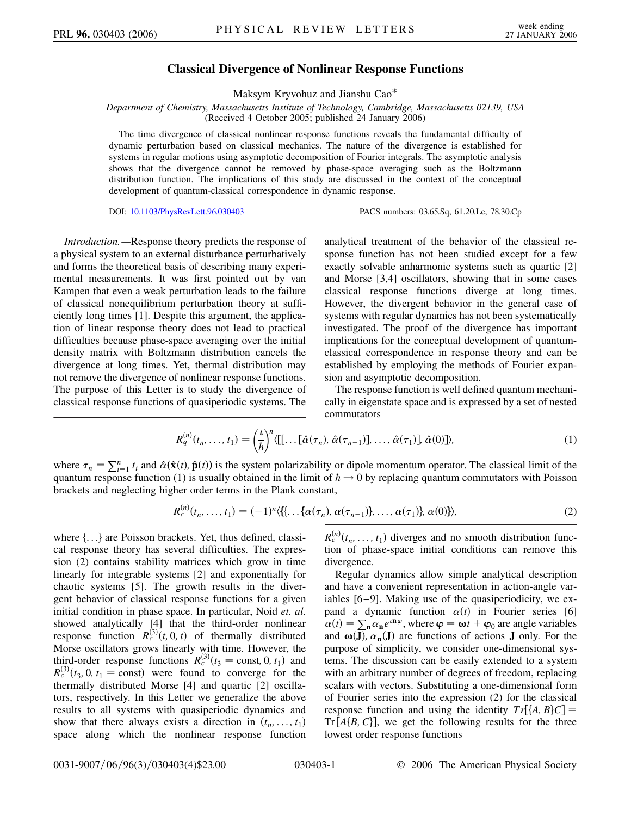## **Classical Divergence of Nonlinear Response Functions**

Maksym Kryvohuz and Jianshu Cao\*

*Department of Chemistry, Massachusetts Institute of Technology, Cambridge, Massachusetts 02139, USA* (Received 4 October 2005; published 24 January 2006)

The time divergence of classical nonlinear response functions reveals the fundamental difficulty of dynamic perturbation based on classical mechanics. The nature of the divergence is established for systems in regular motions using asymptotic decomposition of Fourier integrals. The asymptotic analysis shows that the divergence cannot be removed by phase-space averaging such as the Boltzmann distribution function. The implications of this study are discussed in the context of the conceptual development of quantum-classical correspondence in dynamic response.

DOI: [10.1103/PhysRevLett.96.030403](http://dx.doi.org/10.1103/PhysRevLett.96.030403) PACS numbers: 03.65.Sq, 61.20.Lc, 78.30.Cp

*Introduction.—*Response theory predicts the response of a physical system to an external disturbance perturbatively and forms the theoretical basis of describing many experimental measurements. It was first pointed out by van Kampen that even a weak perturbation leads to the failure of classical nonequilibrium perturbation theory at sufficiently long times [1]. Despite this argument, the application of linear response theory does not lead to practical difficulties because phase-space averaging over the initial density matrix with Boltzmann distribution cancels the divergence at long times. Yet, thermal distribution may not remove the divergence of nonlinear response functions. The purpose of this Letter is to study the divergence of classical response functions of quasiperiodic systems. The analytical treatment of the behavior of the classical response function has not been studied except for a few exactly solvable anharmonic systems such as quartic [2] and Morse [3,4] oscillators, showing that in some cases classical response functions diverge at long times. However, the divergent behavior in the general case of systems with regular dynamics has not been systematically investigated. The proof of the divergence has important implications for the conceptual development of quantumclassical correspondence in response theory and can be established by employing the methods of Fourier expansion and asymptotic decomposition.

The response function is well defined quantum mechanically in eigenstate space and is expressed by a set of nested commutators

$$
R_q^{(n)}(t_n,\ldots,t_1) = \left(\frac{\iota}{\hbar}\right)^n \langle \left[\left[\ldots\left[\hat{\alpha}(\tau_n),\,\hat{\alpha}(\tau_{n-1})\right],\ldots,\,\hat{\alpha}(\tau_1)\right],\,\hat{\alpha}(0)\right]\rangle, \tag{1}
$$

where  $\tau_n = \sum_{i=1}^n t_i$  and  $\hat{\alpha}(\hat{\mathbf{x}}(t), \hat{\mathbf{p}}(t))$  is the system polarizability or dipole momentum operator. The classical limit of the quantum response function (1) is usually obtained in the limit of  $\hbar \to 0$  by replacing quantum commutators with Poisson brackets and neglecting higher order terms in the Plank constant,

$$
R_c^{(n)}(t_n, \ldots, t_1) = (-1)^n \langle \{ \{ \ldots \{ \alpha(\tau_n), \alpha(\tau_{n-1}) \}, \ldots, \alpha(\tau_1) \}, \alpha(0) \} \rangle, \tag{2}
$$

where  $\{...\}$  are Poisson brackets. Yet, thus defined, classical response theory has several difficulties. The expression (2) contains stability matrices which grow in time linearly for integrable systems [2] and exponentially for chaotic systems [5]. The growth results in the divergent behavior of classical response functions for a given initial condition in phase space. In particular, Noid *et. al.* showed analytically [4] that the third-order nonlinear response function  $R_c^{(3)}(t, 0, t)$  of thermally distributed Morse oscillators grows linearly with time. However, the third-order response functions  $R_c^{(3)}(t_3 = \text{const}, 0, t_1)$  and  $R_c^{(3)}(t_3, 0, t_1 = \text{const})$  were found to converge for the thermally distributed Morse [4] and quartic [2] oscillators, respectively. In this Letter we generalize the above results to all systems with quasiperiodic dynamics and show that there always exists a direction in  $(t_n, \ldots, t_1)$ space along which the nonlinear response function

 $R_c^{(n)}(t_n, \ldots, t_1)$  diverges and no smooth distribution function of phase-space initial conditions can remove this divergence.

Regular dynamics allow simple analytical description and have a convenient representation in action-angle variables [6 –9]. Making use of the quasiperiodicity, we expand a dynamic function  $\alpha(t)$  in Fourier series [6]  $\alpha(t) = \sum_{n} \alpha_n e^{in\varphi}$ , where  $\varphi = \omega t + \varphi_0$  are angle variables and  $\omega(\mathbf{J})$ ,  $\alpha_{\mathbf{n}}(\mathbf{J})$  are functions of actions **J** only. For the purpose of simplicity, we consider one-dimensional systems. The discussion can be easily extended to a system with an arbitrary number of degrees of freedom, replacing scalars with vectors. Substituting a one-dimensional form of Fourier series into the expression (2) for the classical response function and using the identity  $Tr[{A, B}C] =$  $Tr[A{B, C}]$ , we get the following results for the three lowest order response functions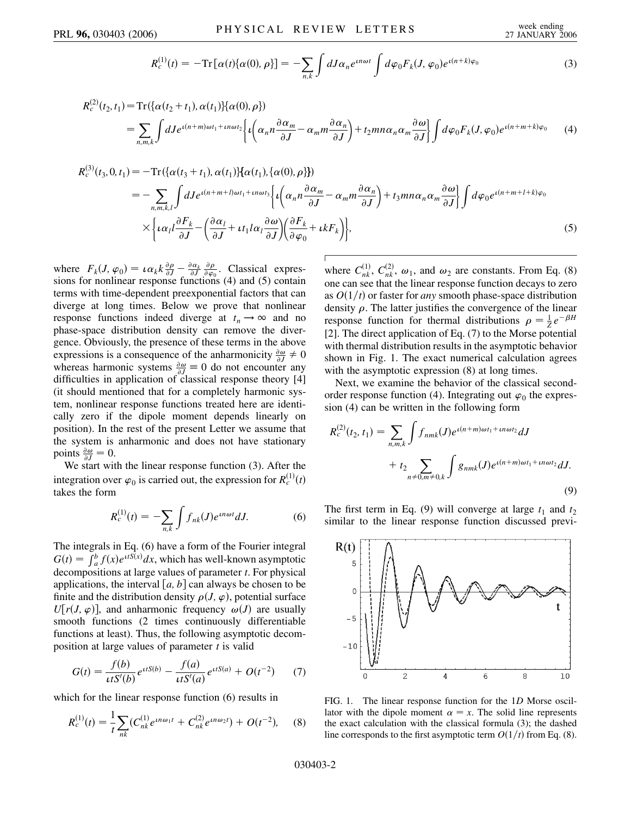$$
R_c^{(1)}(t) = -\mathrm{Tr}\big[\alpha(t)\{\alpha(0),\rho\}\big] = -\sum_{n,k} \int dJ \alpha_n e^{in\omega t} \int d\varphi_0 F_k(J,\varphi_0) e^{i(n+k)\varphi_0}
$$
(3)

$$
R_c^{(2)}(t_2, t_1) = \text{Tr}\left\{ \{ \alpha(t_2 + t_1), \alpha(t_1) \} \{ \alpha(0), \rho \} \right\}
$$
\n
$$
= \sum_{n,m,k} \int dJ e^{i(n+m)\omega t_1 + in\omega t_2} \left\{ i \left( \alpha_n n \frac{\partial \alpha_m}{\partial J} - \alpha_m m \frac{\partial \alpha_n}{\partial J} \right) + t_2 m n \alpha_n \alpha_m \frac{\partial \omega}{\partial J} \right\} \int d\varphi_0 F_k(J, \varphi_0) e^{i(n+m+k)\varphi_0} \tag{4}
$$

$$
R_c^{(3)}(t_3, 0, t_1) = -\operatorname{Tr}\left\{ {\alpha(t_3 + t_1), \alpha(t_1)} \right\} {\alpha(t_1), \{\alpha(0), \rho\}}\n= -\sum_{n, m, k, l} \int dJ e^{i(n + m + l)\omega t_1 + \iota n \omega t_3} \left\{ i \left( \alpha_n n \frac{\partial \alpha_m}{\partial J} - \alpha_m m \frac{\partial \alpha_n}{\partial J} \right) + t_3 m n \alpha_n \alpha_m \frac{\partial \omega}{\partial J} \right\} \int d\varphi_0 e^{i(n + m + l + k)\varphi_0}\n\times \left\{ i \alpha_l l \frac{\partial F_k}{\partial J} - \left( \frac{\partial \alpha_l}{\partial J} + i t_1 l \alpha_l \frac{\partial \omega}{\partial J} \right) \left( \frac{\partial F_k}{\partial \varphi_0} + i k F_k \right) \right\},
$$
\n(5)

where  $F_k(J, \varphi_0) = \iota \alpha_k k \frac{\partial \rho}{\partial J} - \frac{\partial \alpha_k}{\partial J}$  $\partial \rho$  $\frac{\partial \rho}{\partial \varphi_0}$ . Classical expressions for nonlinear response functions (4) and (5) contain terms with time-dependent preexponential factors that can diverge at long times. Below we prove that nonlinear response functions indeed diverge at  $t_n \rightarrow \infty$  and no phase-space distribution density can remove the divergence. Obviously, the presence of these terms in the above expressions is a consequence of the anharmonicity  $\frac{\partial \omega}{\partial J} \neq 0$ whereas harmonic systems  $\frac{\partial \omega}{\partial J} \equiv 0$  do not encounter any difficulties in application of classical response theory [4] (it should mentioned that for a completely harmonic system, nonlinear response functions treated here are identically zero if the dipole moment depends linearly on position). In the rest of the present Letter we assume that the system is anharmonic and does not have stationary points  $\frac{\partial \omega}{\partial J} = 0$ .

We start with the linear response function (3). After the integration over  $\varphi_0$  is carried out, the expression for  $R_c^{(1)}(t)$ takes the form

$$
R_c^{(1)}(t) = -\sum_{n,k} \int f_{nk}(J)e^{in\omega t} dJ.
$$
 (6)

The integrals in Eq. (6) have a form of the Fourier integral  $G(t) = \int_{a}^{b} f(x)e^{itS(x)}dx$ , which has well-known asymptotic decompositions at large values of parameter *t*. For physical applications, the interval  $[a, b]$  can always be chosen to be finite and the distribution density  $\rho(J, \varphi)$ , potential surface  $U[r(J, \varphi)]$ , and anharmonic frequency  $\omega(J)$  are usually smooth functions (2 times continuously differentiable functions at least). Thus, the following asymptotic decomposition at large values of parameter *t* is valid

$$
G(t) = \frac{f(b)}{\iota t S'(b)} e^{\iota t S(b)} - \frac{f(a)}{\iota t S'(a)} e^{\iota t S(a)} + O(t^{-2}) \tag{7}
$$

which for the linear response function (6) results in

$$
R_c^{(1)}(t) = \frac{1}{t} \sum_{nk} (C_{nk}^{(1)} e^{in\omega_1 t} + C_{nk}^{(2)} e^{in\omega_2 t}) + O(t^{-2}), \quad (8)
$$

where  $C_{nk}^{(1)}$ ,  $C_{nk}^{(2)}$ ,  $\omega_1$ , and  $\omega_2$  are constants. From Eq. (8) one can see that the linear response function decays to zero as  $O(1/t)$  or faster for *any* smooth phase-space distribution density  $\rho$ . The latter justifies the convergence of the linear response function for thermal distributions  $\rho = \frac{1}{Z}e^{-\beta H}$ [2]. The direct application of Eq. (7) to the Morse potential with thermal distribution results in the asymptotic behavior shown in Fig. 1. The exact numerical calculation agrees with the asymptotic expression  $(8)$  at long times.

Next, we examine the behavior of the classical secondorder response function (4). Integrating out  $\varphi_0$  the expression (4) can be written in the following form

$$
R_c^{(2)}(t_2, t_1) = \sum_{n,m,k} \int f_{nmk}(J) e^{i(n+m)\omega t_1 + \iota n \omega t_2} dJ
$$
  
+  $t_2 \sum_{n \neq 0, m \neq 0, k} \int g_{nmk}(J) e^{i(n+m)\omega t_1 + \iota n \omega t_2} dJ.$  (9)

The first term in Eq. (9) will converge at large  $t_1$  and  $t_2$ similar to the linear response function discussed previ-



FIG. 1. The linear response function for the 1*D* Morse oscillator with the dipole moment  $\alpha = x$ . The solid line represents the exact calculation with the classical formula (3); the dashed line corresponds to the first asymptotic term  $O(1/t)$  from Eq. (8).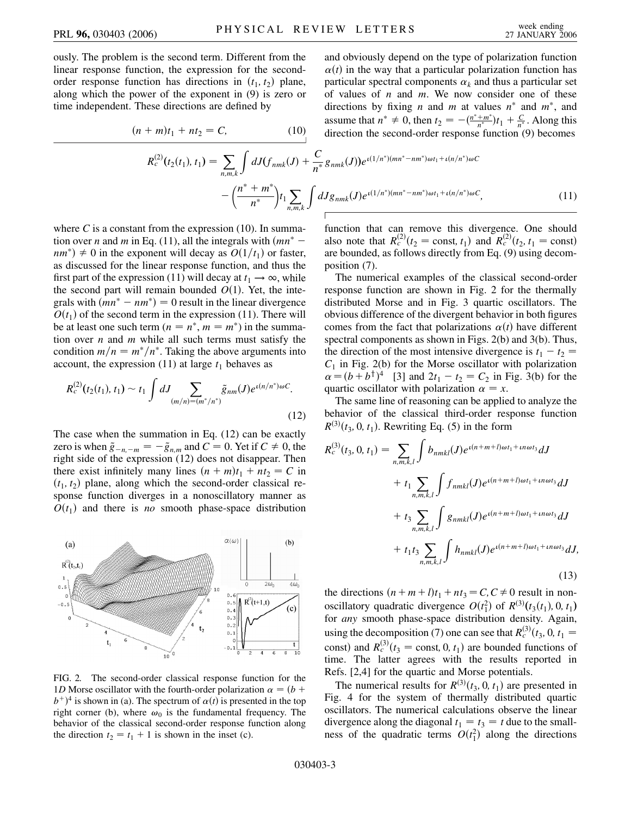ously. The problem is the second term. Different from the linear response function, the expression for the secondorder response function has directions in  $(t_1, t_2)$  plane, along which the power of the exponent in (9) is zero or time independent. These directions are defined by

$$
(n + m)t_1 + nt_2 = C,
$$
 (10)

and obviously depend on the type of polarization function  $\alpha(t)$  in the way that a particular polarization function has particular spectral components  $\alpha_k$  and thus a particular set of values of *n* and *m*. We now consider one of these directions by fixing *n* and *m* at values  $n^*$  and  $m^*$ , and assume that  $n^* \neq 0$ , then  $t_2 = -\frac{(n^* + m^*)}{n^*}t_1 + \frac{C}{n^*}$ . Along this direction the second-order response function (9) becomes

$$
R_c^{(2)}(t_2(t_1), t_1) = \sum_{n,m,k} \int dJ(f_{nmk}(J) + \frac{C}{n^*} g_{nmk}(J)) e^{i(1/n^*)(mn^* - nm^*)\omega t_1 + i(n/n^*)\omega C} - \left(\frac{n^* + m^*}{n^*}\right) t_1 \sum_{n,m,k} \int dJ g_{nmk}(J) e^{i(1/n^*)(mn^* - nm^*)\omega t_1 + i(n/n^*)\omega C}, \tag{11}
$$

where  $C$  is a constant from the expression  $(10)$ . In summation over *n* and *m* in Eq. (11), all the integrals with  $(mn^*$  $nm^*$ )  $\neq$  0 in the exponent will decay as  $O(1/t_1)$  or faster, as discussed for the linear response function, and thus the first part of the expression (11) will decay at  $t_1 \rightarrow \infty$ , while the second part will remain bounded  $O(1)$ . Yet, the integrals with  $(mn^* - nm^*) = 0$  result in the linear divergence  $O(t_1)$  of the second term in the expression (11). There will be at least one such term  $(n = n^*, m = m^*)$  in the summation over *n* and *m* while all such terms must satisfy the condition  $m/n = m^*/n^*$ . Taking the above arguments into account, the expression  $(11)$  at large  $t<sub>1</sub>$  behaves as

$$
R_c^{(2)}(t_2(t_1), t_1) \sim t_1 \int dJ \sum_{(m/n)=(m^*/n^*)} \tilde{g}_{nm}(J) e^{i(n/n^*)\omega C}.
$$
\n(12)

The case when the summation in Eq. (12) can be exactly zero is when  $\tilde{g}_{-n,-m} = -\tilde{g}_{n,m}$  and  $C = 0$ . Yet if  $C \neq 0$ , the right side of the expression (12) does not disappear. Then there exist infinitely many lines  $(n + m)t_1 + nt_2 = C$  in  $(t_1, t_2)$  plane, along which the second-order classical response function diverges in a nonoscillatory manner as  $O(t_1)$  and there is *no* smooth phase-space distribution



FIG. 2. The second-order classical response function for the 1*D* Morse oscillator with the fourth-order polarization  $\alpha = (b +$  $b^{+}$ <sup>4</sup> is shown in (a). The spectrum of  $\alpha(t)$  is presented in the top right corner (b), where  $\omega_0$  is the fundamental frequency. The behavior of the classical second-order response function along the direction  $t_2 = t_1 + 1$  is shown in the inset (c).

function that can remove this divergence. One should also note that  $R_c^{(2)}(t_2 = \text{const}, t_1)$  and  $R_c^{(2)}(t_2, t_1 = \text{const})$ are bounded, as follows directly from Eq. (9) using decomposition (7).

The numerical examples of the classical second-order response function are shown in Fig. 2 for the thermally distributed Morse and in Fig. 3 quartic oscillators. The obvious difference of the divergent behavior in both figures comes from the fact that polarizations  $\alpha(t)$  have different spectral components as shown in Figs. 2(b) and 3(b). Thus, the direction of the most intensive divergence is  $t_1 - t_2 =$  $C_1$  in Fig. 2(b) for the Morse oscillator with polarization  $\alpha = (b + b^{\dagger})^4$  [3] and  $2t_1 - t_2 = C_2$  in Fig. 3(b) for the quartic oscillator with polarization  $\alpha = x$ .

The same line of reasoning can be applied to analyze the behavior of the classical third-order response function  $R^{(3)}(t_3, 0, t_1)$ . Rewriting Eq. (5) in the form

$$
R_c^{(3)}(t_3, 0, t_1) = \sum_{n,m,k,l} \int b_{nmkl}(J) e^{i(n+m+l)\omega t_1 + in\omega t_3} dJ
$$
  
+  $t_1 \sum_{n,m,k,l} \int f_{nmkl}(J) e^{i(n+m+l)\omega t_1 + in\omega t_3} dJ$   
+  $t_3 \sum_{n,m,k,l} \int g_{nmkl}(J) e^{i(n+m+l)\omega t_1 + in\omega t_3} dJ$   
+  $t_1 t_3 \sum_{n,m,k,l} \int h_{nmkl}(J) e^{i(n+m+l)\omega t_1 + in\omega t_3} dJ,$   
(13)

the directions  $(n + m + l)t_1 + nt_3 = C, C \neq 0$  result in nonoscillatory quadratic divergence  $O(t_1^2)$  of  $R^{(3)}(t_3(t_1), 0, t_1)$ for *any* smooth phase-space distribution density. Again, using the decomposition (7) one can see that  $R_c^{(3)}(t_3, 0, t_1 =$ const) and  $R_c^{(3)}(t_3 = \text{const}, 0, t_1)$  are bounded functions of time. The latter agrees with the results reported in Refs. [2,4] for the quartic and Morse potentials.

The numerical results for  $R^{(3)}(t_3, 0, t_1)$  are presented in Fig. 4 for the system of thermally distributed quartic oscillators. The numerical calculations observe the linear divergence along the diagonal  $t_1 = t_3 = t$  due to the smallness of the quadratic terms  $O(t_1^2)$  along the directions